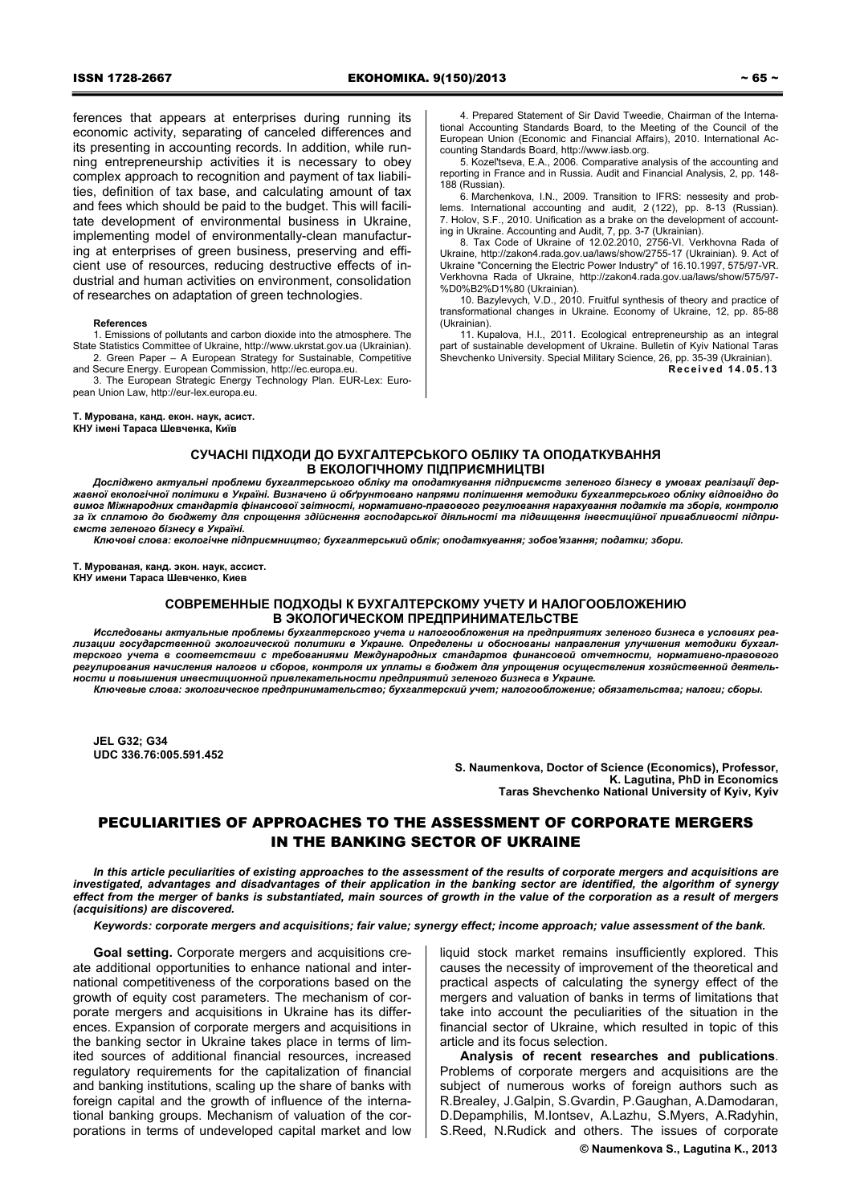ferences that appears at enterprises during running its economic activity, separating of canceled differences and its presenting in accounting records. In addition, while running entrepreneurship activities it is necessary to obey complex approach to recognition and payment of tax liabilities, definition of tax base, and calculating amount of tax and fees which should be paid to the budget. This will facilitate development of environmental business in Ukraine, implementing model of environmentally-clean manufacturing at enterprises of green business, preserving and efficient use of resources, reducing destructive effects of industrial and human activities on environment, consolidation of researches on adaptation of green technologies.

#### **References**

1. Emissions of pollutants and carbon dioxide into the atmosphere. The State Statistics Committee of Ukraine, http://www.ukrstat.gov.ua (Ukrainian). 2. Green Paper – A European Strategy for Sustainable, Competitive

and Secure Energy. European Commission, http://ec.europa.eu. 3. The European Strategic Energy Technology Plan. EUR-Lex: European Union Law, http://eur-lex.europa.eu.

**Т. Мурована, канд. екон. наук, асист. КНУ імені Тараса Шевченка, Київ**

4. Prepared Statement of Sir David Tweedie, Chairman of the International Accounting Standards Board, to the Meeting of the Council of the European Union (Economic and Financial Affairs), 2010. International Accounting Standards Board, http://www.iasb.org.

5. Kozel'tseva, E.A., 2006. Comparative analysis of the accounting and reporting in France and in Russia. Audit and Financial Analysis, 2, pp. 148- 188 (Russian).

6. Marchenkova, I.N., 2009. Transition to IFRS: nessesity and problems. International accounting and audit, 2 (122), pp. 8-13 (Russian). 7. Holov, S.F., 2010. Unification as a brake on the development of accounting in Ukraine. Accounting and Audit, 7, pp. 3-7 (Ukrainian).

8. Tax Code of Ukraine of 12.02.2010, 2756-VI. Verkhovna Rada of Ukraine, http://zakon4.rada.gov.ua/laws/show/2755-17 (Ukrainian). 9. Act of Ukraine "Concerning the Electric Power Industry" of 16.10.1997, 575/97-VR. Verkhovna Rada of Ukraine, http://zakon4.rada.gov.ua/laws/show/575/97- %D0%B2%D1%80 (Ukrainian).

10. Bazylevych, V.D., 2010. Fruitful synthesis of theory and practice of transformational changes in Ukraine. Economy of Ukraine, 12, pp. 85-88 (Ukrainian).

11. Kupalova, H.I., 2011. Ecological entrepreneurship as an integral part of sustainable development of Ukraine. Bulletin of Kyiv National Taras Shevchenko University. Special Military Science, 26, pp. 35-39 (Ukrainian). **Received 14.05.13** 

**СУЧАСНІ ПІДХОДИ ДО БУХГАЛТЕРСЬКОГО ОБЛІКУ ТА ОПОДАТКУВАННЯ В ЕКОЛОГІЧНОМУ ПІДПРИЄМНИЦТВІ**

.<br>Досліджено актуальні проблеми бухгалтерського обліку та оподаткування підприємств зеленого бізнесу в умовах реалізації державної екологічної політики в Україні. Визначено й обґрунтовано напрями поліпшення методики бухгалтерського обліку відповідно до вимог Міжнародних стандартів фінансової звітності, нормативно-правового регулювання нарахування податків та зборів, контролю за їх сплатою до бюджету для спрощення здійснення господарської діяльності та підвищення інвестиційної привабливості підпри*ємств зеленого бізнесу в Україні.* 

Ключові слова: екологічне підприємництво; бухгалтерський облік; оподаткування; зобов'язання; податки; збори.

**Т. Мурованая, канд. экон. наук, ассист. КНУ имени Тараса Шевченко, Киев**

### **СОВРЕМЕННЫЕ ПОДХОДЫ К БУХГАЛТЕРСКОМУ УЧЕТУ И НАЛОГООБЛОЖЕНИЮ В ЭКОЛОГИЧЕСКОМ ПРЕДПРИНИМАТЕЛЬСТВЕ**

Исследованы актуальные проблемы бухгалтерского учета и налогообложения на предприятиях зеленого бизнеса в условиях реализации государственной экологической политики в Украине. Определены и обоснованы направления улучшения методики бухгал*терского учета в соответствии с требованиями Международных стандартов финансовой отчетности, нормативно-правового* поразуют на состояния напогов с постояните политиками и последниками с последниками и последниками составляетс<br>Презулирования начисления напогов и сборов, контроля их уплаты в бюджет для упрощения осуществления хозяйствен *ности и повышения инвестиционной привлекательности предприятий зеленого бизнеса в Украине.* 

Ключевые слова: экологическое предпринимательство; бухгалтерский учет; налогообложение; обязательства; налоги; сборы.

**JEL G32; G34 UDC 336.76:005.591.452** 

**S. Naumenkova, Doctor of Science (Economics), Professor, K. Lagutina, PhD in Economics Taras Shevchenko National University of Kyiv, Kyiv** 

# PECULIARITIES OF APPROACHES TO THE ASSESSMENT OF CORPORATE MERGERS IN THE BANKING SECTOR OF UKRAINE

*In this article peculiarities of existing approaches to the assessment of the results of corporate mergers and acquisitions are investigated, advantages and disadvantages of their application in the banking sector are identified, the algorithm of synergy effect from the merger of banks is substantiated, main sources of growth in the value of the corporation as a result of mergers (acquisitions) are discovered.* 

*Keywords: corporate mergers and acquisitions; fair value; synergy effect; income approach; value assessment of the bank.* 

**Goal setting.** Corporate mergers and acquisitions create additional opportunities to enhance national and international competitiveness of the corporations based on the growth of equity cost parameters. The mechanism of corporate mergers and acquisitions in Ukraine has its differences. Expansion of corporate mergers and acquisitions in the banking sector in Ukraine takes place in terms of limited sources of additional financial resources, increased regulatory requirements for the capitalization of financial and banking institutions, scaling up the share of banks with foreign capital and the growth of influence of the international banking groups. Mechanism of valuation of the corporations in terms of undeveloped capital market and low

liquid stock market remains insufficiently explored. This causes the necessity of improvement of the theoretical and practical aspects of calculating the synergy effect of the mergers and valuation of banks in terms of limitations that take into account the peculiarities of the situation in the financial sector of Ukraine, which resulted in topic of this article and its focus selection.

**Analysis of recent researches and publications**. Problems of corporate mergers and acquisitions are the subject of numerous works of foreign authors such as R.Brealey, J.Galpin, S.Gvardin, P.Gaughan, A.Damodaran, D.Depamphilis, M.Iontsev, A.Lazhu, S.Муеrs, A.Radyhin, S.Reed, N.Rudick and others. The issues of corporate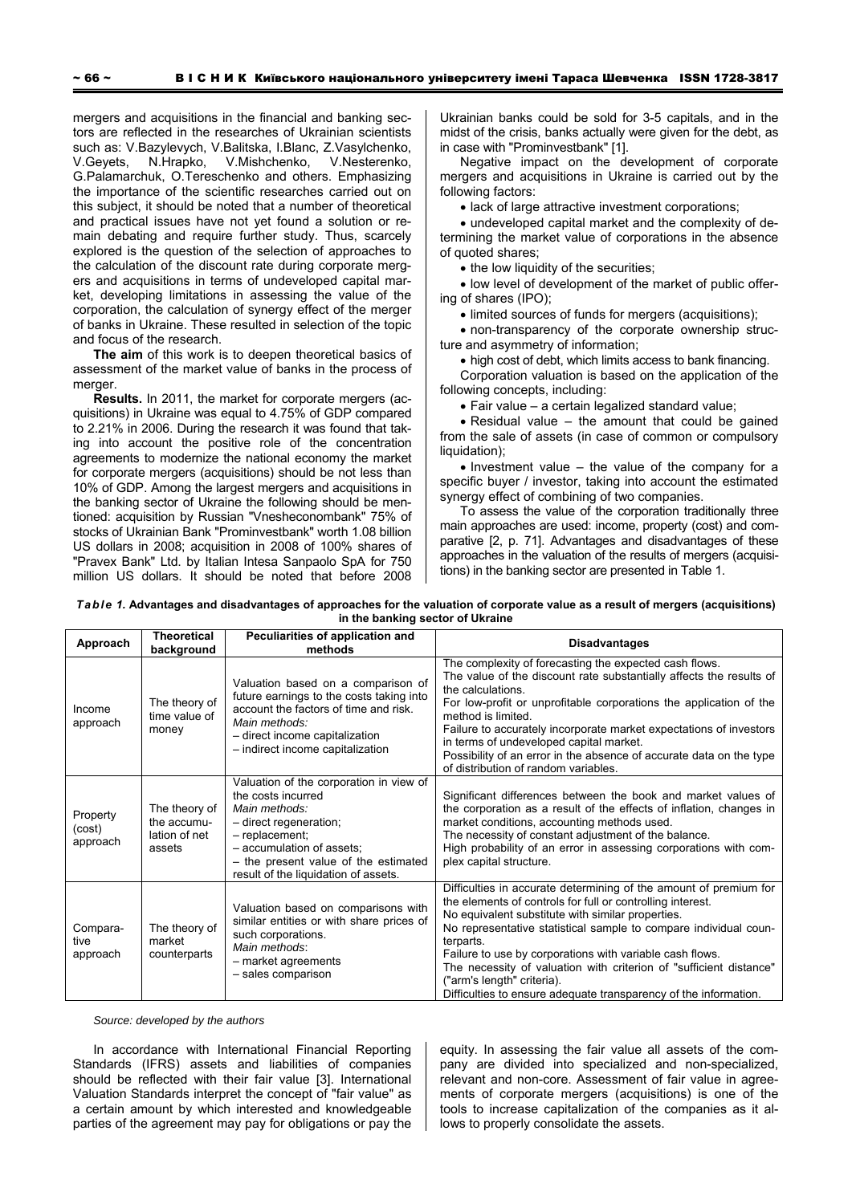mergers and acquisitions in the financial and banking sectors are reflected in the researches of Ukrainian scientists such as: V.Bazylevych, V.Balitska, I.Blanc, Z.Vasylchenko, V.Geyets, N.Hrapko, V.Mishchenko, V.Nesterenko, G.Palamarchuk, O.Tereschenko and others. Emphasizing the importance of the scientific researches carried out on this subject, it should be noted that a number of theoretical and practical issues have not yet found a solution or remain debating and require further study. Thus, scarcely explored is the question of the selection of approaches to the calculation of the discount rate during corporate mergers and acquisitions in terms of undeveloped capital market, developing limitations in assessing the value of the corporation, the calculation of synergy effect of the merger of banks in Ukraine. These resulted in selection of the topic and focus of the research.

**The aim** of this work is to deepen theoretical basics of assessment of the market value of banks in the process of merger.

**Results.** In 2011, the market for corporate mergers (acquisitions) in Ukraine was equal to 4.75% of GDP compared to 2.21% in 2006. During the research it was found that taking into account the positive role of the concentration agreements to modernize the national economy the market for corporate mergers (acquisitions) should be not less than 10% of GDP. Among the largest mergers and acquisitions in the banking sector of Ukraine the following should be mentioned: acquisition by Russian "Vnesheconombank" 75% of stocks of Ukrainian Bank "Prominvestbank" worth 1.08 billion US dollars in 2008; acquisition in 2008 of 100% shares of "Pravex Bank" Ltd. by Italian Intesa Sanpaolo SpA for 750 million US dollars. It should be noted that before 2008 Ukrainian banks could be sold for 3-5 capitals, and in the midst of the crisis, banks actually were given for the debt, as in case with "Prominvestbank" [1].

Negative impact on the development of corporate mergers and acquisitions in Ukraine is carried out by the following factors:

• lack of large attractive investment corporations;

 undeveloped capital market and the complexity of determining the market value of corporations in the absence of quoted shares;

• the low liquidity of the securities;

 low level of development of the market of public offering of shares (IPO);

 $\bullet$  limited sources of funds for mergers (acquisitions);

 non-transparency of the corporate ownership structure and asymmetry of information;

high cost of debt, which limits access to bank financing.

Corporation valuation is based on the application of the following concepts, including:

Fair value – a certain legalized standard value;

 Residual value – the amount that could be gained from the sale of assets (in case of common or compulsory liquidation);

 $\bullet$  Investment value – the value of the company for a specific buyer / investor, taking into account the estimated synergy effect of combining of two companies.

To assess the value of the corporation traditionally three main approaches are used: income, property (cost) and comparative [2, p. 71]. Advantages and disadvantages of these approaches in the valuation of the results of mergers (acquisitions) in the banking sector are presented in Table 1.

*Table 1.* Advantages and disadvantages of approaches for the valuation of corporate value as a result of mergers (acquisitions) **in the banking sector of Ukraine** 

| Approach                       | <b>Theoretical</b><br>background                        | Peculiarities of application and<br>methods                                                                                                                                                                                             | <b>Disadvantages</b>                                                                                                                                                                                                                                                                                                                                                                                                                                                                                      |  |  |
|--------------------------------|---------------------------------------------------------|-----------------------------------------------------------------------------------------------------------------------------------------------------------------------------------------------------------------------------------------|-----------------------------------------------------------------------------------------------------------------------------------------------------------------------------------------------------------------------------------------------------------------------------------------------------------------------------------------------------------------------------------------------------------------------------------------------------------------------------------------------------------|--|--|
| Income<br>approach             | The theory of<br>time value of<br>money                 | Valuation based on a comparison of<br>future earnings to the costs taking into<br>account the factors of time and risk.<br>Main methods:<br>- direct income capitalization<br>- indirect income capitalization                          | The complexity of forecasting the expected cash flows.<br>The value of the discount rate substantially affects the results of<br>the calculations.<br>For low-profit or unprofitable corporations the application of the<br>method is limited.<br>Failure to accurately incorporate market expectations of investors<br>in terms of undeveloped capital market.<br>Possibility of an error in the absence of accurate data on the type<br>of distribution of random variables.                            |  |  |
| Property<br>(cost)<br>approach | The theory of<br>the accumu-<br>lation of net<br>assets | Valuation of the corporation in view of<br>the costs incurred<br>Main methods:<br>- direct regeneration;<br>- replacement;<br>- accumulation of assets;<br>- the present value of the estimated<br>result of the liquidation of assets. | Significant differences between the book and market values of<br>the corporation as a result of the effects of inflation, changes in<br>market conditions, accounting methods used.<br>The necessity of constant adjustment of the balance.<br>High probability of an error in assessing corporations with com-<br>plex capital structure.                                                                                                                                                                |  |  |
| Compara-<br>tive<br>approach   | The theory of<br>market<br>counterparts                 | Valuation based on comparisons with<br>similar entities or with share prices of<br>such corporations.<br>Main methods:<br>- market agreements<br>- sales comparison                                                                     | Difficulties in accurate determining of the amount of premium for<br>the elements of controls for full or controlling interest.<br>No equivalent substitute with similar properties.<br>No representative statistical sample to compare individual coun-<br>terparts.<br>Failure to use by corporations with variable cash flows.<br>The necessity of valuation with criterion of "sufficient distance"<br>("arm's length" criteria).<br>Difficulties to ensure adequate transparency of the information. |  |  |

*Source: developed by the authors* 

In accordance with International Financial Reporting Standards (IFRS) assets and liabilities of companies should be reflected with their fair value [3]. International Valuation Standards interpret the concept of "fair value" as a certain amount by which interested and knowledgeable parties of the agreement may pay for obligations or pay the

equity. In assessing the fair value all assets of the company are divided into specialized and non-specialized, relevant and non-core. Assessment of fair value in agreements of corporate mergers (acquisitions) is one of the tools to increase capitalization of the companies as it allows to properly consolidate the assets.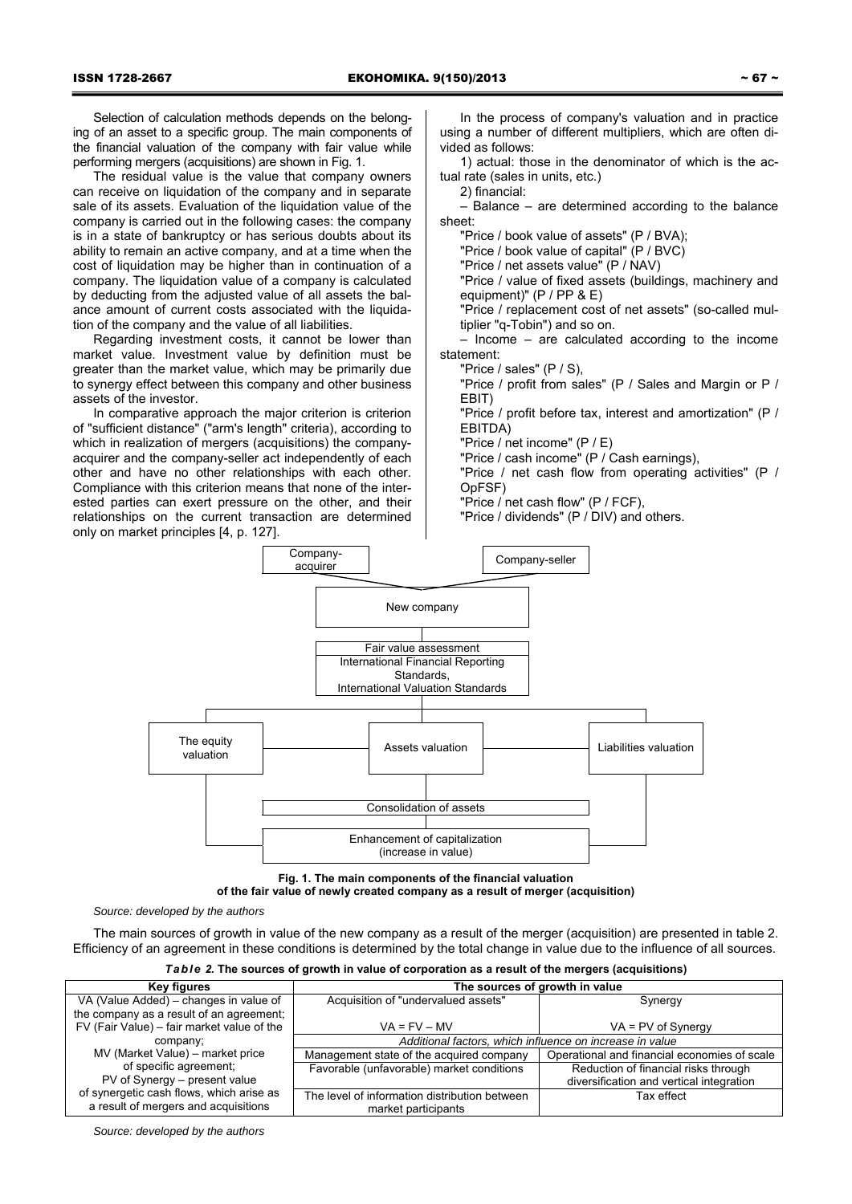Selection of calculation methods depends on the belonging of an asset to a specific group. The main components of the financial valuation of the company with fair value while performing mergers (acquisitions) are shown in Fig. 1.

The residual value is the value that company owners can receive on liquidation of the company and in separate sale of its assets. Evaluation of the liquidation value of the company is carried out in the following cases: the company is in a state of bankruptcy or has serious doubts about its ability to remain an active company, and at a time when the cost of liquidation may be higher than in continuation of a company. The liquidation value of a company is calculated by deducting from the adjusted value of all assets the balance amount of current costs associated with the liquidation of the company and the value of all liabilities.

Regarding investment costs, it cannot be lower than market value. Investment value by definition must be greater than the market value, which may be primarily due to synergy effect between this company and other business assets of the investor.

In comparative approach the major criterion is criterion of "sufficient distance" ("arm's length" criteria), according to which in realization of mergers (acquisitions) the companyacquirer and the company-seller act independently of each other and have no other relationships with each other. Compliance with this criterion means that none of the interested parties can exert pressure on the other, and their relationships on the current transaction are determined only on market principles [4, p. 127].

In the process of company's valuation and in practice using a number of different multipliers, which are often divided as follows:

1) actual: those in the denominator of which is the actual rate (sales in units, etc.)

2) financial:

– Balance – are determined according to the balance sheet:

"Price / book value of assets" (P / BVA);

"Price / book value of capital" (P / BVC)

"Price / net assets value" (P / NAV)

"Price / value of fixed assets (buildings, machinery and equipment)" (P / PP & E)

"Price / replacement cost of net assets" (so-called multiplier "q-Tobin") and so on.

– Income – are calculated according to the income statement:

"Price / sales" (P / S),

"Price / profit from sales" (P / Sales and Margin or P / EBIT)

"Price / profit before tax, interest and amortization" (P / EBITDA)

"Price / net income" (P / E)

"Price / cash income" (P / Cash earnings),

"Price / net cash flow from operating activities" (P / OpFSF)

"Price / net cash flow" (P / FCF),

"Price / dividends" (P / DIV) and others.



**Fig. 1. The main components of the financial valuation** 

**of the fair value of newly created company as a result of merger (acquisition)** 

*Source: developed by the authors* 

The main sources of growth in value of the new company as a result of the merger (acquisition) are presented in table 2. Efficiency of an agreement in these conditions is determined by the total change in value due to the influence of all sources.

*Т аble 2.* **The sources of growth in value of corporation as a result of the mergers (acquisitions)**

| <b>Key figures</b>                         | The sources of growth in value                           |                                              |  |  |  |  |  |  |
|--------------------------------------------|----------------------------------------------------------|----------------------------------------------|--|--|--|--|--|--|
| VA (Value Added) – changes in value of     | Acquisition of "undervalued assets"                      | Synergy                                      |  |  |  |  |  |  |
| the company as a result of an agreement;   |                                                          |                                              |  |  |  |  |  |  |
| FV (Fair Value) - fair market value of the | $VA = FV - MV$                                           | $VA = PV$ of Synergy                         |  |  |  |  |  |  |
| company;                                   | Additional factors, which influence on increase in value |                                              |  |  |  |  |  |  |
| MV (Market Value) – market price           | Management state of the acquired company                 | Operational and financial economies of scale |  |  |  |  |  |  |
| of specific agreement;                     | Favorable (unfavorable) market conditions                | Reduction of financial risks through         |  |  |  |  |  |  |
| PV of Synergy - present value              |                                                          | diversification and vertical integration     |  |  |  |  |  |  |
| of synergetic cash flows, which arise as   | The level of information distribution between            | Tax effect                                   |  |  |  |  |  |  |
| a result of mergers and acquisitions       | market participants                                      |                                              |  |  |  |  |  |  |

*Source: developed by the authors*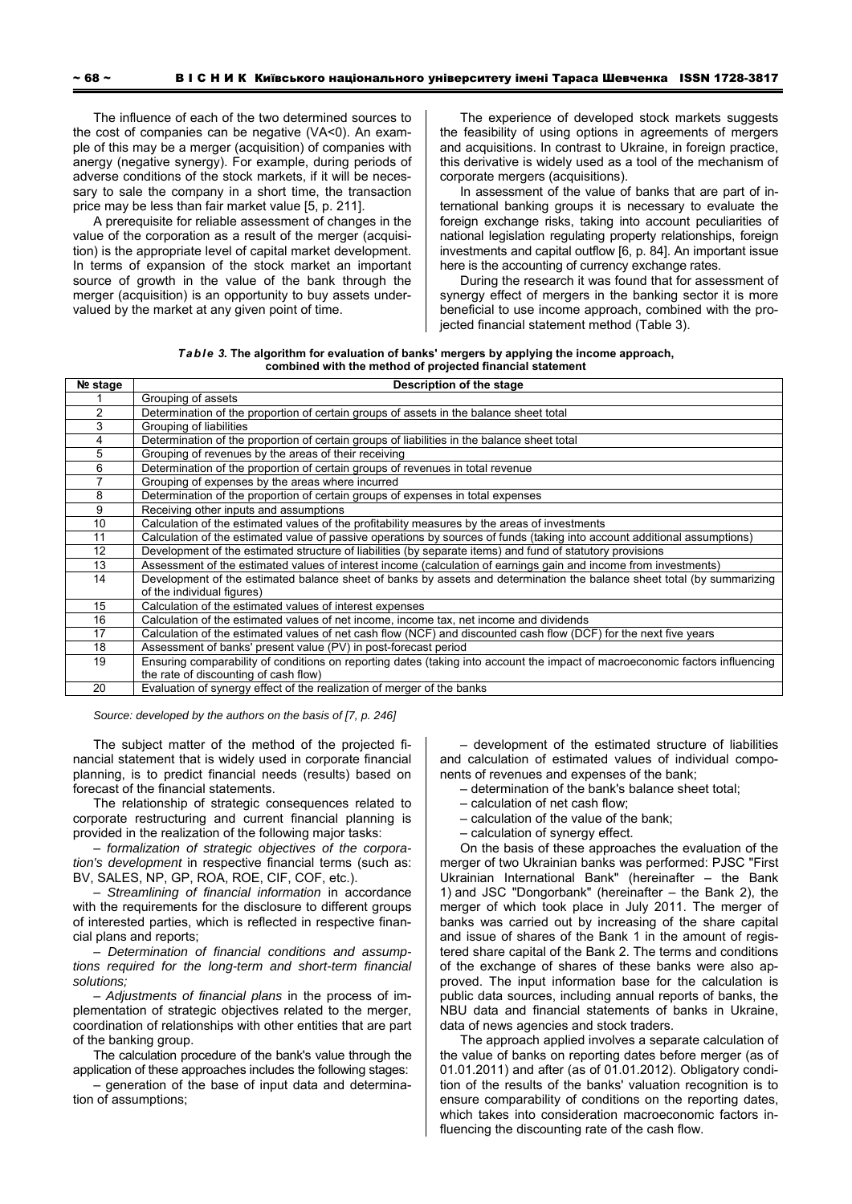The influence of each of the two determined sources to the cost of companies can be negative (VA<0). An example of this may be a merger (acquisition) of companies with anergy (negative synergy). For example, during periods of adverse conditions of the stock markets, if it will be necessary to sale the company in a short time, the transaction price may be less than fair market value [5, p. 211].

A prerequisite for reliable assessment of changes in the value of the corporation as a result of the merger (acquisition) is the appropriate level of capital market development. In terms of expansion of the stock market an important source of growth in the value of the bank through the merger (acquisition) is an opportunity to buy assets undervalued by the market at any given point of time.

The experience of developed stock markets suggests the feasibility of using options in agreements of mergers and acquisitions. In contrast to Ukraine, in foreign practice, this derivative is widely used as a tool of the mechanism of corporate mergers (acquisitions).

In assessment of the value of banks that are part of international banking groups it is necessary to evaluate the foreign exchange risks, taking into account peculiarities of national legislation regulating property relationships, foreign investments and capital outflow [6, p. 84]. An important issue here is the accounting of currency exchange rates.

During the research it was found that for assessment of synergy effect of mergers in the banking sector it is more beneficial to use income approach, combined with the projected financial statement method (Table 3).

*Т аble 3.* **The algorithm for evaluation of banks' mergers by applying the income approach, combined with the method of projected financial statement** 

| Nº stage | Description of the stage                                                                                                                              |  |  |  |  |  |  |
|----------|-------------------------------------------------------------------------------------------------------------------------------------------------------|--|--|--|--|--|--|
|          | Grouping of assets                                                                                                                                    |  |  |  |  |  |  |
| 2        | Determination of the proportion of certain groups of assets in the balance sheet total                                                                |  |  |  |  |  |  |
| 3        | Grouping of liabilities                                                                                                                               |  |  |  |  |  |  |
| 4        | Determination of the proportion of certain groups of liabilities in the balance sheet total                                                           |  |  |  |  |  |  |
| 5        | Grouping of revenues by the areas of their receiving                                                                                                  |  |  |  |  |  |  |
| 6        | Determination of the proportion of certain groups of revenues in total revenue                                                                        |  |  |  |  |  |  |
|          | Grouping of expenses by the areas where incurred                                                                                                      |  |  |  |  |  |  |
| 8        | Determination of the proportion of certain groups of expenses in total expenses                                                                       |  |  |  |  |  |  |
| 9        | Receiving other inputs and assumptions                                                                                                                |  |  |  |  |  |  |
| 10       | Calculation of the estimated values of the profitability measures by the areas of investments                                                         |  |  |  |  |  |  |
| 11       | Calculation of the estimated value of passive operations by sources of funds (taking into account additional assumptions)                             |  |  |  |  |  |  |
| 12       | Development of the estimated structure of liabilities (by separate items) and fund of statutory provisions                                            |  |  |  |  |  |  |
| 13       | Assessment of the estimated values of interest income (calculation of earnings gain and income from investments)                                      |  |  |  |  |  |  |
| 14       | Development of the estimated balance sheet of banks by assets and determination the balance sheet total (by summarizing<br>of the individual figures) |  |  |  |  |  |  |
| 15       | Calculation of the estimated values of interest expenses                                                                                              |  |  |  |  |  |  |
| 16       | Calculation of the estimated values of net income, income tax, net income and dividends                                                               |  |  |  |  |  |  |
| 17       | Calculation of the estimated values of net cash flow (NCF) and discounted cash flow (DCF) for the next five years                                     |  |  |  |  |  |  |
| 18       | Assessment of banks' present value (PV) in post-forecast period                                                                                       |  |  |  |  |  |  |
| 19       | Ensuring comparability of conditions on reporting dates (taking into account the impact of macroeconomic factors influencing                          |  |  |  |  |  |  |
|          | the rate of discounting of cash flow)                                                                                                                 |  |  |  |  |  |  |
| 20       | Evaluation of synergy effect of the realization of merger of the banks                                                                                |  |  |  |  |  |  |

*Source: developed by the authors on the basis of [7, p. 246]* 

The subject matter of the method of the projected financial statement that is widely used in corporate financial planning, is to predict financial needs (results) based on forecast of the financial statements.

The relationship of strategic consequences related to corporate restructuring and current financial planning is provided in the realization of the following major tasks:

– *formalization of strategic objectives of the corporation's development* in respective financial terms (such as: BV, SALES, NP, GP, ROA, ROE, CIF, COF, etc.).

– *Streamlining of financial information* in accordance with the requirements for the disclosure to different groups of interested parties, which is reflected in respective financial plans and reports;

– *Determination of financial conditions and assumptions required for the long-term and short-term financial solutions;* 

*– Adjustments of financial plans* in the process of implementation of strategic objectives related to the merger, coordination of relationships with other entities that are part of the banking group.

The calculation procedure of the bank's value through the application of these approaches includes the following stages:

– generation of the base of input data and determination of assumptions;

– development of the estimated structure of liabilities and calculation of estimated values of individual components of revenues and expenses of the bank;

- determination of the bank's balance sheet total;
- calculation of net cash flow;
- calculation of the value of the bank;
- calculation of synergy effect.

On the basis of these approaches the evaluation of the merger of two Ukrainian banks was performed: PJSC "First Ukrainian International Bank" (hereinafter – the Bank 1) and JSC "Dongorbank" (hereinafter – the Bank 2), the merger of which took place in July 2011. The merger of banks was carried out by increasing of the share capital and issue of shares of the Bank 1 in the amount of registered share capital of the Bank 2. The terms and conditions of the exchange of shares of these banks were also approved. The input information base for the calculation is public data sources, including annual reports of banks, the NBU data and financial statements of banks in Ukraine, data of news agencies and stock traders.

The approach applied involves a separate calculation of the value of banks on reporting dates before merger (as of 01.01.2011) and after (as of 01.01.2012). Obligatory condition of the results of the banks' valuation recognition is to ensure comparability of conditions on the reporting dates, which takes into consideration macroeconomic factors influencing the discounting rate of the cash flow.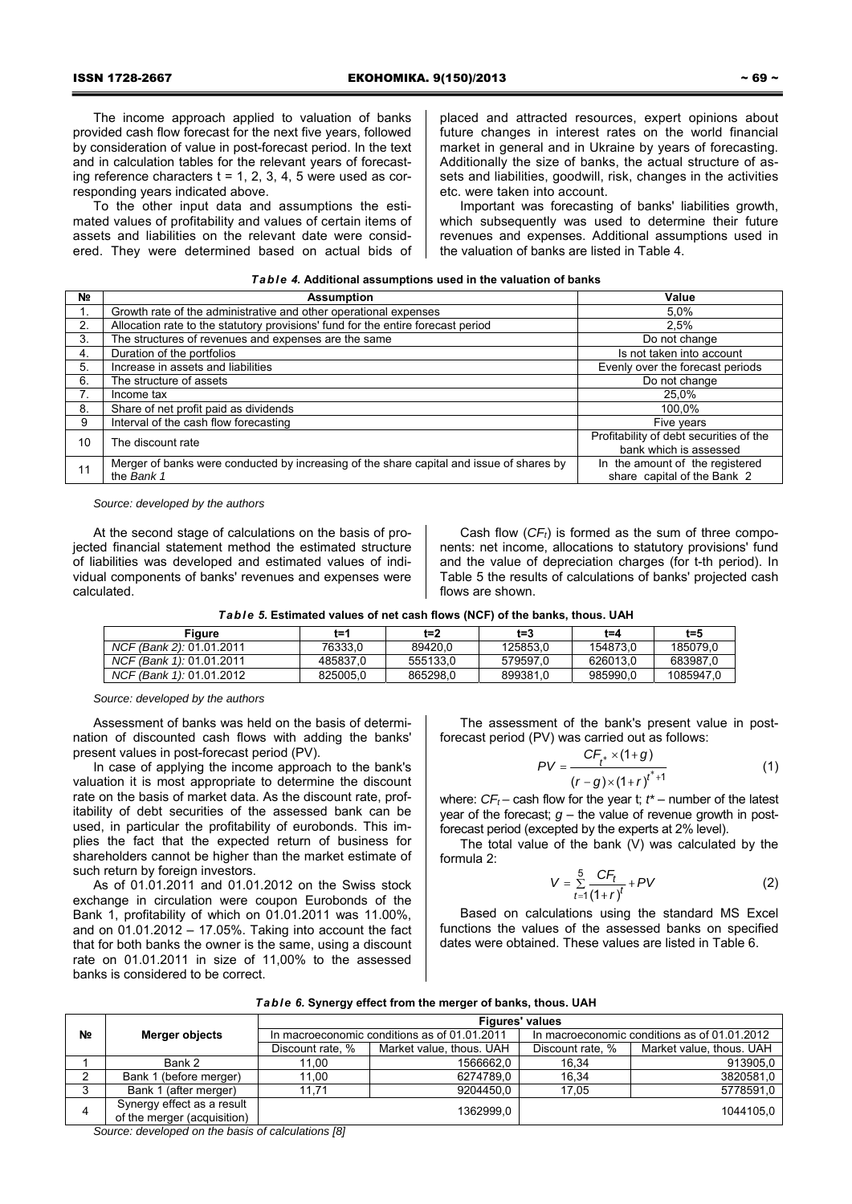The income approach applied to valuation of banks provided cash flow forecast for the next five years, followed by consideration of value in post-forecast period. In the text and in calculation tables for the relevant years of forecasting reference characters  $t = 1, 2, 3, 4, 5$  were used as corresponding years indicated above.

To the other input data and assumptions the estimated values of profitability and values of certain items of assets and liabilities on the relevant date were considered. They were determined based on actual bids of placed and attracted resources, expert opinions about future changes in interest rates on the world financial market in general and in Ukraine by years of forecasting. Additionally the size of banks, the actual structure of assets and liabilities, goodwill, risk, changes in the activities etc. were taken into account.

Important was forecasting of banks' liabilities growth, which subsequently was used to determine their future revenues and expenses. Additional assumptions used in the valuation of banks are listed in Table 4.

| Table 4. Additional assumptions used in the valuation of banks |  |
|----------------------------------------------------------------|--|
|----------------------------------------------------------------|--|

| N <sub>2</sub> | <b>Assumption</b>                                                                                      | Value                                                             |
|----------------|--------------------------------------------------------------------------------------------------------|-------------------------------------------------------------------|
| 1.             | Growth rate of the administrative and other operational expenses                                       | 5.0%                                                              |
| 2.             | Allocation rate to the statutory provisions' fund for the entire forecast period                       | 2.5%                                                              |
| 3.             | The structures of revenues and expenses are the same                                                   | Do not change                                                     |
| 4.             | Duration of the portfolios                                                                             | Is not taken into account                                         |
| 5.             | Increase in assets and liabilities                                                                     | Evenly over the forecast periods                                  |
| 6.             | The structure of assets                                                                                | Do not change                                                     |
| 7.             | Income tax                                                                                             | 25.0%                                                             |
| 8.             | Share of net profit paid as dividends                                                                  | 100,0%                                                            |
| 9              | Interval of the cash flow forecasting                                                                  | Five years                                                        |
| 10             | The discount rate                                                                                      | Profitability of debt securities of the<br>bank which is assessed |
| 11             | Merger of banks were conducted by increasing of the share capital and issue of shares by<br>the Bank 1 | In the amount of the registered<br>share capital of the Bank 2    |

*Source: developed by the authors* 

At the second stage of calculations on the basis of projected financial statement method the estimated structure of liabilities was developed and estimated values of individual components of banks' revenues and expenses were calculated.

Cash flow  $(CF_t)$  is formed as the sum of three components: net income, allocations to statutory provisions' fund and the value of depreciation charges (for t-th period). In Table 5 the results of calculations of banks' projected cash flows are shown.

| Table 5. Estimated values of net cash flows (NCF) of the banks, thous. UAH |  |  |  |  |  |  |  |  |  |  |  |  |
|----------------------------------------------------------------------------|--|--|--|--|--|--|--|--|--|--|--|--|
|----------------------------------------------------------------------------|--|--|--|--|--|--|--|--|--|--|--|--|

| Fiaure                   | t=1      | $t=2$    | $t = 3$  | $t = 4$  | t=5       |
|--------------------------|----------|----------|----------|----------|-----------|
| NCF (Bank 2): 01.01.2011 | 76333.0  | 89420.0  | 125853.0 | 154873.0 | 185079.0  |
| NCF (Bank 1): 01.01.2011 | 485837.0 | 555133.0 | 579597.0 | 626013.0 | 683987.0  |
| NCF (Bank 1): 01.01.2012 | 825005,0 | 865298.0 | 899381.0 | 985990,0 | 1085947.0 |

*Source: developed by the authors* 

Assessment of banks was held on the basis of determination of discounted cash flows with adding the banks' present values in post-forecast period (PV).

In case of applying the income approach to the bank's valuation it is most appropriate to determine the discount rate on the basis of market data. As the discount rate, profitability of debt securities of the assessed bank can be used, in particular the profitability of eurobonds. This implies the fact that the expected return of business for shareholders cannot be higher than the market estimate of such return by foreign investors.

As of 01.01.2011 and 01.01.2012 on the Swiss stock exchange in circulation were coupon Eurobonds of the Bank 1, profitability of which on 01.01.2011 was 11.00%, and on  $01.01.2012 - 17.05%$ . Taking into account the fact that for both banks the owner is the same, using a discount rate on 01.01.2011 in size of 11,00% to the assessed banks is considered to be correct.

The assessment of the bank's present value in postforecast period (PV) was carried out as follows:

$$
PV = \frac{CF_{t^*} \times (1+g)}{(r-g) \times (1+r)^{t^*+1}}
$$
 (1)

where:  $CF_t$  – cash flow for the year t;  $t^*$  – number of the latest year of the forecast; *g* – the value of revenue growth in postforecast period (excepted by the experts at 2% level).

The total value of the bank (V) was calculated by the formula 2:

$$
V = \sum_{t=1}^{5} \frac{CF_t}{(1+r)^t} + PV \tag{2}
$$

Based on calculations using the standard MS Excel functions the values of the assessed banks on specified dates were obtained. These values are listed in Table 6.

|                |                                                           | <b>Figures' values</b> |                                              |                                              |                          |  |  |
|----------------|-----------------------------------------------------------|------------------------|----------------------------------------------|----------------------------------------------|--------------------------|--|--|
| N <sub>2</sub> | Merger objects                                            |                        | In macroeconomic conditions as of 01.01.2011 | In macroeconomic conditions as of 01.01.2012 |                          |  |  |
|                |                                                           | Discount rate, %       | Market value, thous. UAH                     | Discount rate, %                             | Market value, thous. UAH |  |  |
|                | Bank 2                                                    | 11.00                  | 1566662,0                                    | 16.34                                        | 913905,0                 |  |  |
| 2              | Bank 1 (before merger)                                    | 11.00                  | 6274789,0                                    | 16.34                                        | 3820581,0                |  |  |
| ົ              | Bank 1 (after merger)                                     | 11.71                  | 9204450.0                                    | 17.05                                        | 5778591,0                |  |  |
| 4              | Synergy effect as a result<br>of the merger (acquisition) |                        | 1362999.0                                    |                                              | 1044105.0                |  |  |

*Тable 6.* **Synergy effect from the merger of banks, thous. UAH** 

*Source: developed on the basis of calculations [8]*